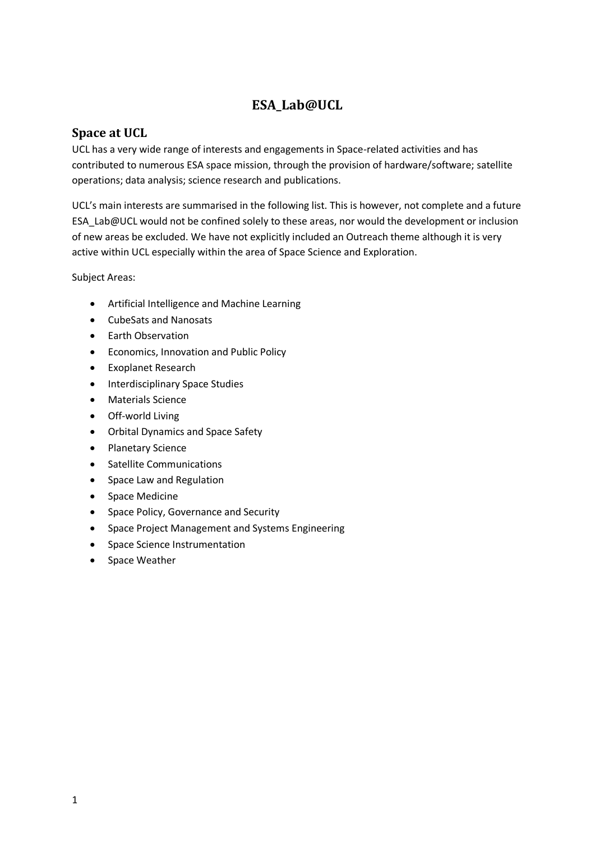# **ESA\_Lab@UCL**

### <span id="page-0-0"></span>**Space at UCL**

UCL has a very wide range of interests and engagements in Space-related activities and has contributed to numerous ESA space mission, through the provision of hardware/software; satellite operations; data analysis; science research and publications.

UCL's main interests are summarised in the following list. This is however, not complete and a future ESA\_Lab@UCL would not be confined solely to these areas, nor would the development or inclusion of new areas be excluded. We have not explicitly included an Outreach theme although it is very active within UCL especially within the area of Space Science and Exploration.

Subject Areas:

- Artificial Intelligence and Machine Learning
- CubeSats and Nanosats
- Earth Observation
- Economics, Innovation and Public Policy
- Exoplanet Research
- Interdisciplinary Space Studies
- Materials Science
- Off-world Living
- Orbital Dynamics and Space Safety
- Planetary Science
- Satellite Communications
- Space Law and Regulation
- Space Medicine
- Space Policy, Governance and Security
- Space Project Management and Systems Engineering
- Space Science Instrumentation
- Space Weather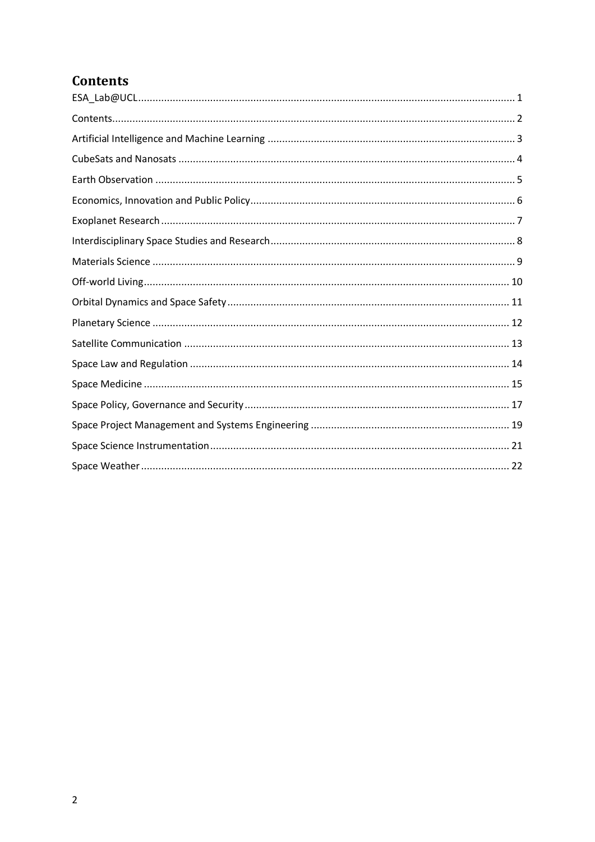# <span id="page-1-0"></span>**Contents**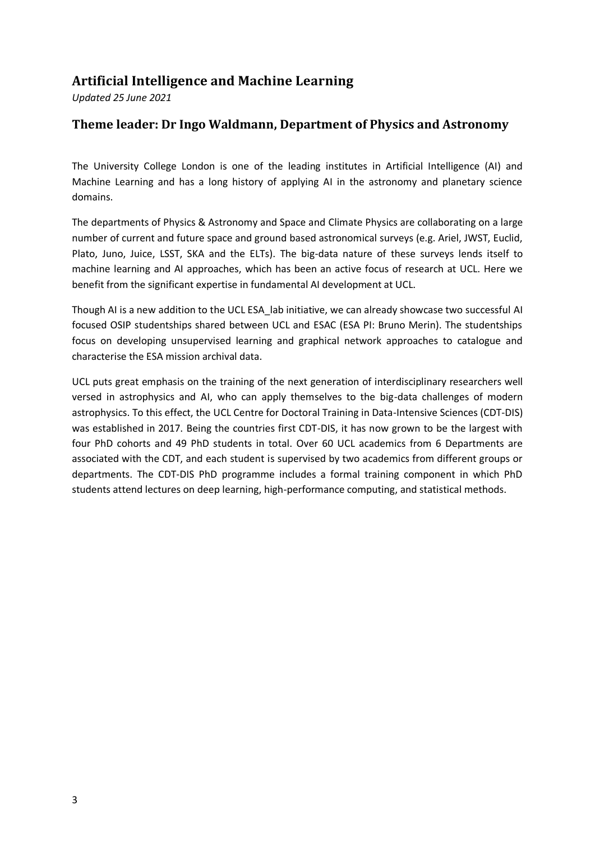# <span id="page-2-0"></span>**Artificial Intelligence and Machine Learning**

*Updated 25 June 2021*

### **Theme leader: Dr Ingo Waldmann, Department of Physics and Astronomy**

The University College London is one of the leading institutes in Artificial Intelligence (AI) and Machine Learning and has a long history of applying AI in the astronomy and planetary science domains.

The departments of Physics & Astronomy and Space and Climate Physics are collaborating on a large number of current and future space and ground based astronomical surveys (e.g. Ariel, JWST, Euclid, Plato, Juno, Juice, LSST, SKA and the ELTs). The big-data nature of these surveys lends itself to machine learning and AI approaches, which has been an active focus of research at UCL. Here we benefit from the significant expertise in fundamental AI development at UCL.

Though AI is a new addition to the UCL ESA\_lab initiative, we can already showcase two successful AI focused OSIP studentships shared between UCL and ESAC (ESA PI: Bruno Merin). The studentships focus on developing unsupervised learning and graphical network approaches to catalogue and characterise the ESA mission archival data.

UCL puts great emphasis on the training of the next generation of interdisciplinary researchers well versed in astrophysics and AI, who can apply themselves to the big-data challenges of modern astrophysics. To this effect, the UCL Centre for Doctoral Training in Data-Intensive Sciences (CDT-DIS) was established in 2017. Being the countries first CDT-DIS, it has now grown to be the largest with four PhD cohorts and 49 PhD students in total. Over 60 UCL academics from 6 Departments are associated with the CDT, and each student is supervised by two academics from different groups or departments. The CDT-DIS PhD programme includes a formal training component in which PhD students attend lectures on deep learning, high-performance computing, and statistical methods.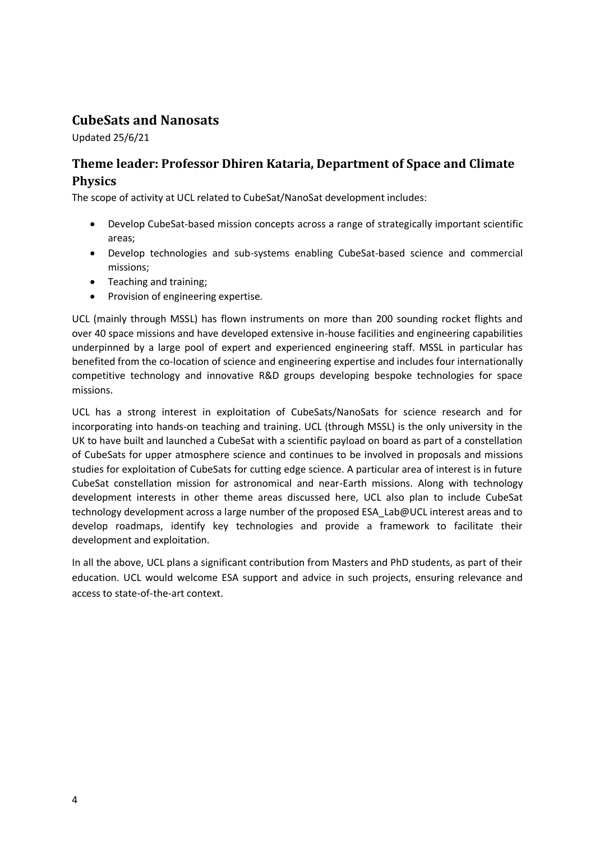# <span id="page-3-0"></span>**CubeSats and Nanosats**

Updated 25/6/21

### **Theme leader: Professor Dhiren Kataria, Department of Space and Climate Physics**

The scope of activity at UCL related to CubeSat/NanoSat development includes:

- Develop CubeSat-based mission concepts across a range of strategically important scientific areas;
- Develop technologies and sub-systems enabling CubeSat-based science and commercial missions;
- Teaching and training;
- Provision of engineering expertise.

UCL (mainly through MSSL) has flown instruments on more than 200 sounding rocket flights and over 40 space missions and have developed extensive in-house facilities and engineering capabilities underpinned by a large pool of expert and experienced engineering staff. MSSL in particular has benefited from the co-location of science and engineering expertise and includes four internationally competitive technology and innovative R&D groups developing bespoke technologies for space missions.

UCL has a strong interest in exploitation of CubeSats/NanoSats for science research and for incorporating into hands-on teaching and training. UCL (through MSSL) is the only university in the UK to have built and launched a CubeSat with a scientific payload on board as part of a constellation of CubeSats for upper atmosphere science and continues to be involved in proposals and missions studies for exploitation of CubeSats for cutting edge science. A particular area of interest is in future CubeSat constellation mission for astronomical and near-Earth missions. Along with technology development interests in other theme areas discussed here, UCL also plan to include CubeSat technology development across a large number of the proposed ESA\_Lab@UCL interest areas and to develop roadmaps, identify key technologies and provide a framework to facilitate their development and exploitation.

In all the above, UCL plans a significant contribution from Masters and PhD students, as part of their education. UCL would welcome ESA support and advice in such projects, ensuring relevance and access to state-of-the-art context.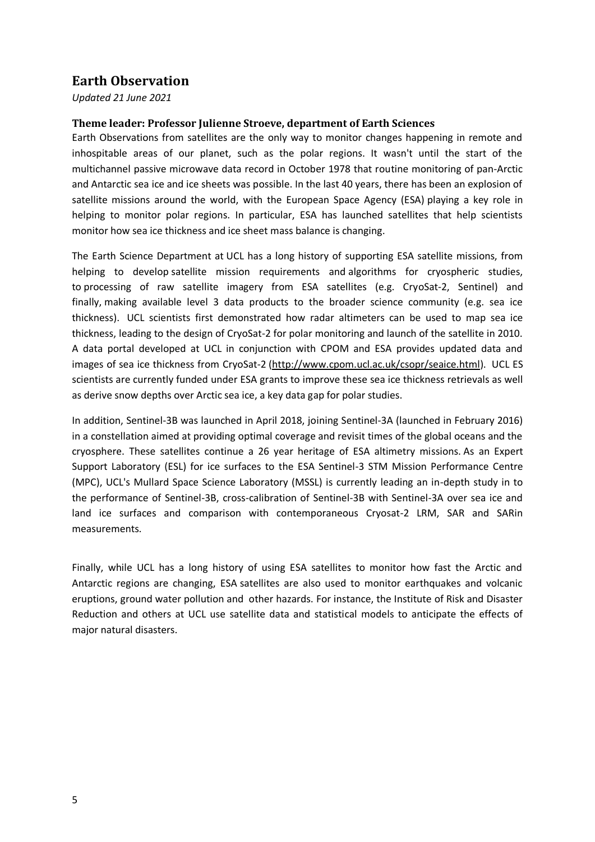### <span id="page-4-0"></span>**Earth Observation**

*Updated 21 June 2021*

#### **Theme leader: Professor Julienne Stroeve, department of Earth Sciences**

Earth Observations from satellites are the only way to monitor changes happening in remote and inhospitable areas of our planet, such as the polar regions. It wasn't until the start of the multichannel passive microwave data record in October 1978 that routine monitoring of pan-Arctic and Antarctic sea ice and ice sheets was possible. In the last 40 years, there has been an explosion of satellite missions around the world, with the European Space Agency (ESA) playing a key role in helping to monitor polar regions. In particular, ESA has launched satellites that help scientists monitor how sea ice thickness and ice sheet mass balance is changing.

The Earth Science Department at UCL has a long history of supporting ESA satellite missions, from helping to develop satellite mission requirements and algorithms for cryospheric studies, to processing of raw satellite imagery from ESA satellites (e.g. CryoSat-2, Sentinel) and finally, making available level 3 data products to the broader science community (e.g. sea ice thickness). UCL scientists first demonstrated how radar altimeters can be used to map sea ice thickness, leading to the design of CryoSat-2 for polar monitoring and launch of the satellite in 2010. A data portal developed at UCL in conjunction with CPOM and ESA provides updated data and images of sea ice thickness from CryoSat-2 [\(http://www.cpom.ucl.ac.uk/csopr/seaice.html\)](http://www.cpom.ucl.ac.uk/csopr/seaice.html). UCL ES scientists are currently funded under ESA grants to improve these sea ice thickness retrievals as well as derive snow depths over Arctic sea ice, a key data gap for polar studies.

In addition, Sentinel-3B was launched in April 2018, joining Sentinel-3A (launched in February 2016) in a constellation aimed at providing optimal coverage and revisit times of the global oceans and the cryosphere. These satellites continue a 26 year heritage of ESA altimetry missions. As an Expert Support Laboratory (ESL) for ice surfaces to the ESA Sentinel-3 STM Mission Performance Centre (MPC), UCL's Mullard Space Science Laboratory (MSSL) is currently leading an in-depth study in to the performance of Sentinel-3B, cross-calibration of Sentinel-3B with Sentinel-3A over sea ice and land ice surfaces and comparison with contemporaneous Cryosat-2 LRM, SAR and SARin measurements.

Finally, while UCL has a long history of using ESA satellites to monitor how fast the Arctic and Antarctic regions are changing, ESA satellites are also used to monitor earthquakes and volcanic eruptions, ground water pollution and other hazards. For instance, the Institute of Risk and Disaster Reduction and others at UCL use satellite data and statistical models to anticipate the effects of major natural disasters.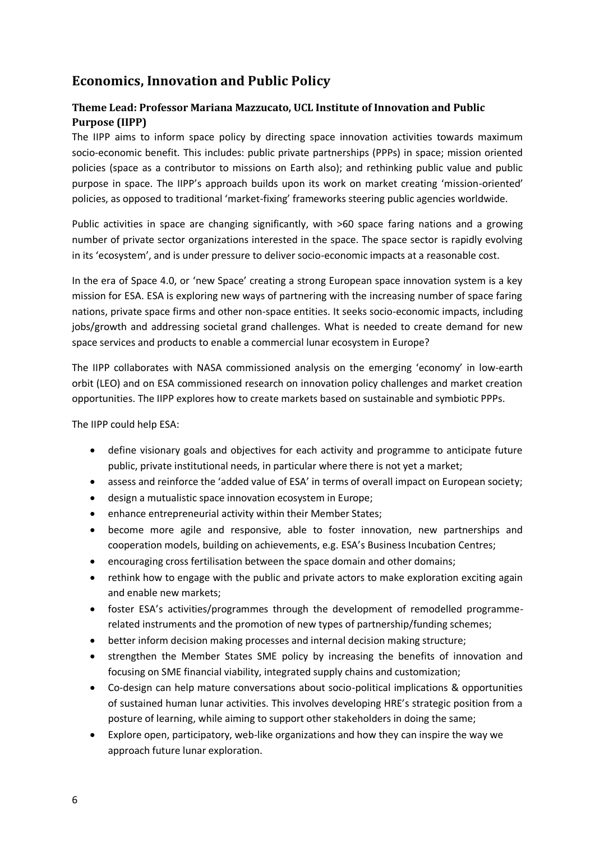# <span id="page-5-0"></span>**Economics, Innovation and Public Policy**

#### **Theme Lead: Professor Mariana Mazzucato, UCL Institute of Innovation and Public Purpose (IIPP)**

The IIPP aims to inform space policy by directing space innovation activities towards maximum socio-economic benefit. This includes: public private partnerships (PPPs) in space; mission oriented policies (space as a contributor to missions on Earth also); and rethinking public value and public purpose in space. The IIPP's approach builds upon its work on market creating 'mission-oriented' policies, as opposed to traditional 'market-fixing' frameworks steering public agencies worldwide.

Public activities in space are changing significantly, with >60 space faring nations and a growing number of private sector organizations interested in the space. The space sector is rapidly evolving in its 'ecosystem', and is under pressure to deliver socio-economic impacts at a reasonable cost.

In the era of Space 4.0, or 'new Space' creating a strong European space innovation system is a key mission for ESA. ESA is exploring new ways of partnering with the increasing number of space faring nations, private space firms and other non-space entities. It seeks socio-economic impacts, including jobs/growth and addressing societal grand challenges. What is needed to create demand for new space services and products to enable a commercial lunar ecosystem in Europe?

The IIPP collaborates with NASA commissioned analysis on the emerging 'economy' in low-earth orbit (LEO) and on ESA commissioned research on innovation policy challenges and market creation opportunities. The IIPP explores how to create markets based on sustainable and symbiotic PPPs.

The IIPP could help ESA:

- define visionary goals and objectives for each activity and programme to anticipate future public, private institutional needs, in particular where there is not yet a market;
- assess and reinforce the 'added value of ESA' in terms of overall impact on European society;
- design a mutualistic space innovation ecosystem in Europe;
- enhance entrepreneurial activity within their Member States;
- become more agile and responsive, able to foster innovation, new partnerships and cooperation models, building on achievements, e.g. ESA's Business Incubation Centres;
- encouraging cross fertilisation between the space domain and other domains;
- rethink how to engage with the public and private actors to make exploration exciting again and enable new markets;
- foster ESA's activities/programmes through the development of remodelled programmerelated instruments and the promotion of new types of partnership/funding schemes;
- better inform decision making processes and internal decision making structure;
- strengthen the Member States SME policy by increasing the benefits of innovation and focusing on SME financial viability, integrated supply chains and customization;
- Co-design can help mature conversations about socio-political implications & opportunities of sustained human lunar activities. This involves developing HRE's strategic position from a posture of learning, while aiming to support other stakeholders in doing the same;
- Explore open, participatory, web-like organizations and how they can inspire the way we approach future lunar exploration.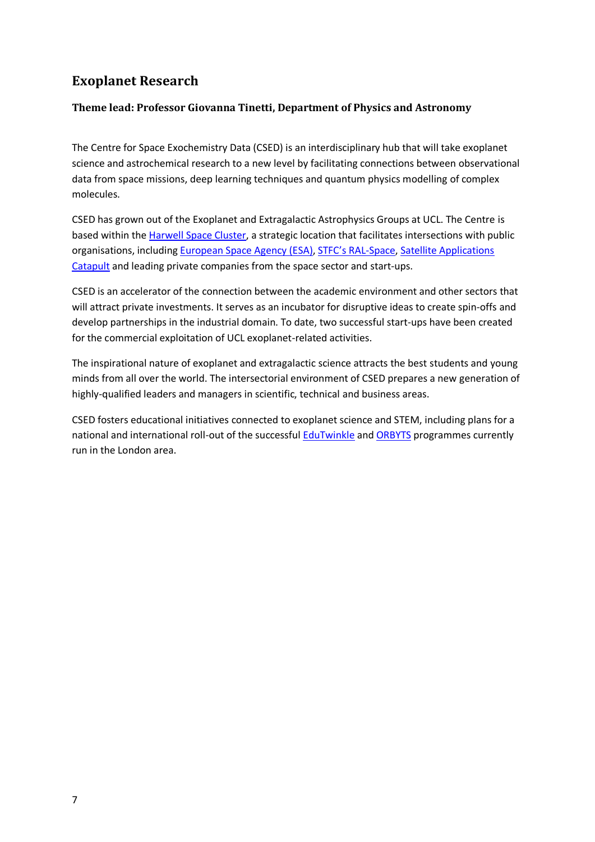# <span id="page-6-0"></span>**Exoplanet Research**

#### **Theme lead: Professor Giovanna Tinetti, Department of Physics and Astronomy**

The Centre for Space Exochemistry Data (CSED) is an interdisciplinary hub that will take exoplanet science and astrochemical research to a new level by facilitating connections between observational data from space missions, deep learning techniques and quantum physics modelling of complex molecules.

CSED has grown out of the Exoplanet and Extragalactic Astrophysics Groups at UCL. The Centre is based within the [Harwell Space Cluster,](https://www.harwellcampus.com/) a strategic location that facilitates intersections with public organisations, including [European Space Agency \(ESA\),](https://www.esa.int/About_Us/Welcome_to_ESA/ECSAT) [STFC's RAL](https://www.ralspace.stfc.ac.uk/Pages/home.aspx)-Space, [Satellite Applications](https://sa.catapult.org.uk/)  [Catapult](https://sa.catapult.org.uk/) and leading private companies from the space sector and start-ups.

CSED is an accelerator of the connection between the academic environment and other sectors that will attract private investments. It serves as an incubator for disruptive ideas to create spin-offs and develop partnerships in the industrial domain. To date, two successful start-ups have been created for the commercial exploitation of UCL exoplanet-related activities.

The inspirational nature of exoplanet and extragalactic science attracts the best students and young minds from all over the world. The intersectorial environment of CSED prepares a new generation of highly-qualified leaders and managers in scientific, technical and business areas.

CSED fosters educational initiatives connected to exoplanet science and STEM, including plans for a national and international roll-out of the successful [EduTwinkle](http://www.twinkle-spacemission.co.uk/edutwinkle/) an[d ORBYTS](http://www.twinkle-spacemission.co.uk/orbyts/) programmes currently run in the London area.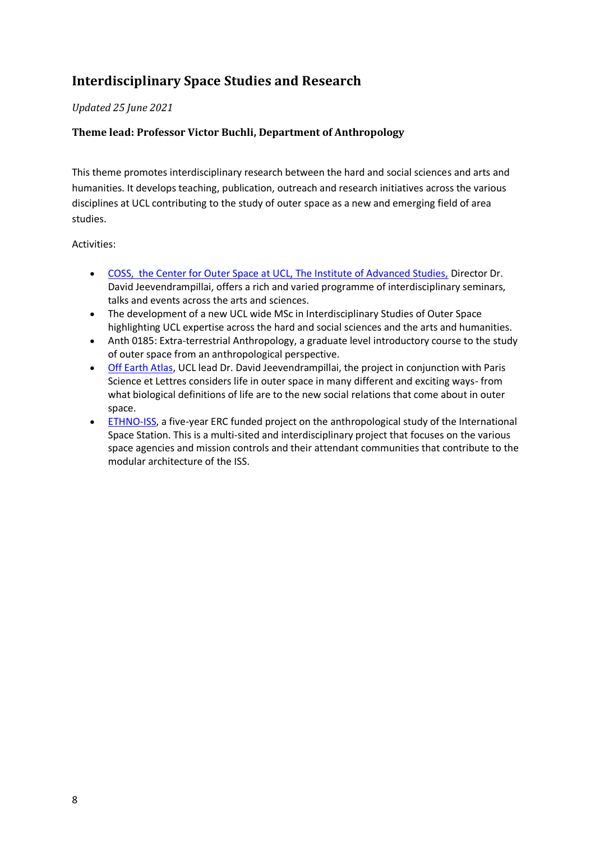# <span id="page-7-0"></span>**Interdisciplinary Space Studies and Research**

#### *Updated 25 June 2021*

#### **Theme lead: Professor Victor Buchli, Department of Anthropology**

This theme promotes interdisciplinary research between the hard and social sciences and arts and humanities. It develops teaching, publication, outreach and research initiatives across the various disciplines at UCL contributing to the study of outer space as a new and emerging field of area studies.

Activities:

- [COSS, the Center for Outer Space at UCL, The Institute of Advanced Studies,](https://www.ucl.ac.uk/institute-of-advanced-studies/centre-outer-space-studies) Director Dr. David Jeevendrampillai, offers a rich and varied programme of interdisciplinary seminars, talks and events across the arts and sciences.
- The development of a new UCL wide MSc in Interdisciplinary Studies of Outer Space highlighting UCL expertise across the hard and social sciences and the arts and humanities.
- Anth 0185: Extra-terrestrial Anthropology, a graduate level introductory course to the study of outer space from an anthropological perspective.
- [Off Earth Atlas,](https://www.ucl.ac.uk/institute-of-advanced-studies/earth-atlas) UCL lead Dr. David Jeevendrampillai, the project in conjunction with Paris Science et Lettres considers life in outer space in many different and exciting ways- from what biological definitions of life are to the new social relations that come about in outer space.
- [ETHNO-ISS,](https://www.ucl.ac.uk/anthropology/research/ethno-iss) a five-year ERC funded project on the anthropological study of the International Space Station. This is a multi-sited and interdisciplinary project that focuses on the various space agencies and mission controls and their attendant communities that contribute to the modular architecture of the ISS.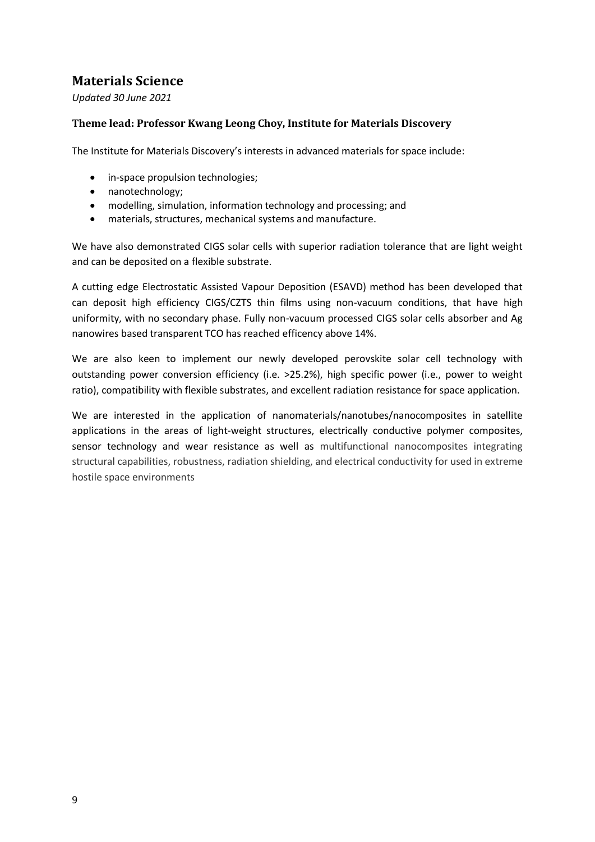# <span id="page-8-0"></span>**Materials Science**

*Updated 30 June 2021*

#### **Theme lead: Professor Kwang Leong Choy, Institute for Materials Discovery**

The Institute for Materials Discovery's interests in advanced materials for space include:

- in-space propulsion technologies;
- nanotechnology;
- modelling, simulation, information technology and processing; and
- materials, structures, mechanical systems and manufacture.

We have also demonstrated CIGS solar cells with superior radiation tolerance that are light weight and can be deposited on a flexible substrate.

A cutting edge Electrostatic Assisted Vapour Deposition (ESAVD) method has been developed that can deposit high efficiency CIGS/CZTS thin films using non-vacuum conditions, that have high uniformity, with no secondary phase. Fully non-vacuum processed CIGS solar cells absorber and Ag nanowires based transparent TCO has reached efficency above 14%.

We are also keen to implement our newly developed perovskite solar cell technology with outstanding power conversion efficiency (i.e. >25.2%), high specific power (i.e., power to weight ratio), compatibility with flexible substrates, and excellent radiation resistance for space application.

We are interested in the application of nanomaterials/nanotubes/nanocomposites in satellite applications in the areas of light-weight structures, electrically conductive polymer composites, sensor technology and wear resistance as well as multifunctional nanocomposites integrating structural capabilities, robustness, radiation shielding, and electrical conductivity for used in extreme hostile space environments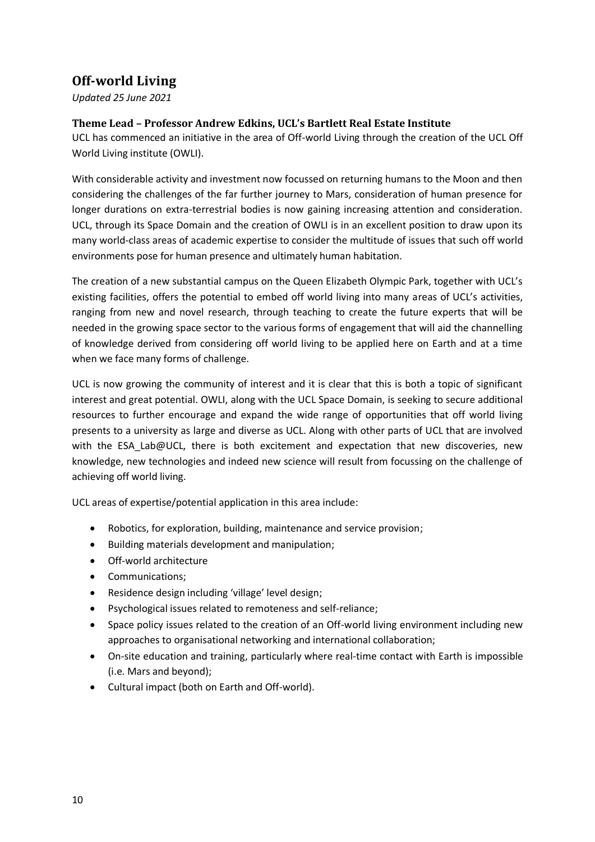# <span id="page-9-0"></span>**Off-world Living**

*Updated 25 June 2021*

#### **Theme Lead – Professor Andrew Edkins, UCL's Bartlett Real Estate Institute**

UCL has commenced an initiative in the area of Off-world Living through the creation of the UCL Off World Living institute (OWLI).

With considerable activity and investment now focussed on returning humans to the Moon and then considering the challenges of the far further journey to Mars, consideration of human presence for longer durations on extra-terrestrial bodies is now gaining increasing attention and consideration. UCL, through its Space Domain and the creation of OWLI is in an excellent position to draw upon its many world-class areas of academic expertise to consider the multitude of issues that such off world environments pose for human presence and ultimately human habitation.

The creation of a new substantial campus on the Queen Elizabeth Olympic Park, together with UCL's existing facilities, offers the potential to embed off world living into many areas of UCL's activities, ranging from new and novel research, through teaching to create the future experts that will be needed in the growing space sector to the various forms of engagement that will aid the channelling of knowledge derived from considering off world living to be applied here on Earth and at a time when we face many forms of challenge.

UCL is now growing the community of interest and it is clear that this is both a topic of significant interest and great potential. OWLI, along with the UCL Space Domain, is seeking to secure additional resources to further encourage and expand the wide range of opportunities that off world living presents to a university as large and diverse as UCL. Along with other parts of UCL that are involved with the ESA Lab@UCL, there is both excitement and expectation that new discoveries, new knowledge, new technologies and indeed new science will result from focussing on the challenge of achieving off world living.

UCL areas of expertise/potential application in this area include:

- Robotics, for exploration, building, maintenance and service provision;
- Building materials development and manipulation;
- Off-world architecture
- Communications;
- Residence design including 'village' level design;
- Psychological issues related to remoteness and self-reliance;
- Space policy issues related to the creation of an Off-world living environment including new approaches to organisational networking and international collaboration;
- On-site education and training, particularly where real-time contact with Earth is impossible (i.e. Mars and beyond);
- Cultural impact (both on Earth and Off-world).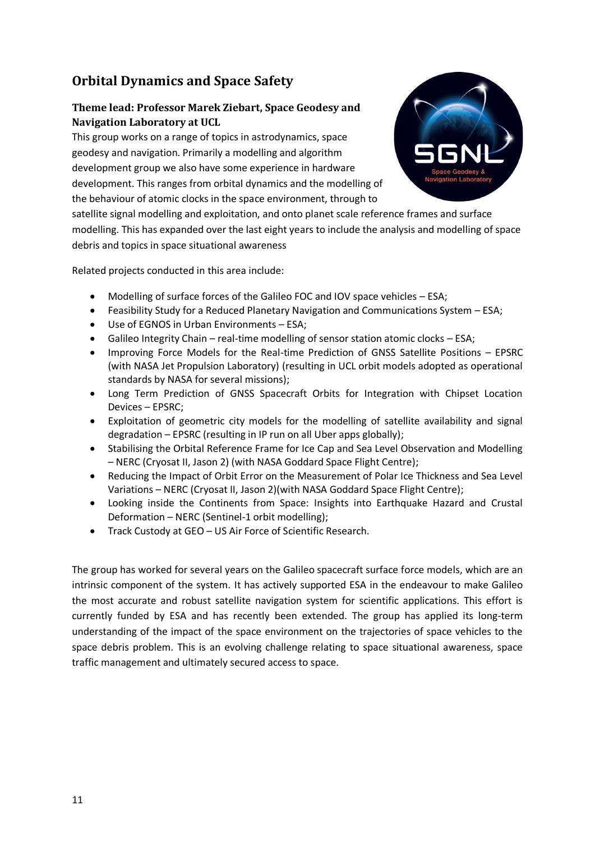# <span id="page-10-0"></span>**Orbital Dynamics and Space Safety**

#### **Theme lead: Professor Marek Ziebart, Space Geodesy and Navigation Laboratory at UCL**

This group works on a range of topics in astrodynamics, space geodesy and navigation. Primarily a modelling and algorithm development group we also have some experience in hardware development. This ranges from orbital dynamics and the modelling of the behaviour of atomic clocks in the space environment, through to



satellite signal modelling and exploitation, and onto planet scale reference frames and surface modelling. This has expanded over the last eight years to include the analysis and modelling of space debris and topics in space situational awareness

Related projects conducted in this area include:

- Modelling of surface forces of the Galileo FOC and IOV space vehicles ESA;
- Feasibility Study for a Reduced Planetary Navigation and Communications System ESA;
- Use of EGNOS in Urban Environments ESA;
- Galileo Integrity Chain real-time modelling of sensor station atomic clocks ESA;
- Improving Force Models for the Real-time Prediction of GNSS Satellite Positions EPSRC (with NASA Jet Propulsion Laboratory) (resulting in UCL orbit models adopted as operational standards by NASA for several missions);
- Long Term Prediction of GNSS Spacecraft Orbits for Integration with Chipset Location Devices – EPSRC;
- Exploitation of geometric city models for the modelling of satellite availability and signal degradation – EPSRC (resulting in IP run on all Uber apps globally);
- Stabilising the Orbital Reference Frame for Ice Cap and Sea Level Observation and Modelling – NERC (Cryosat II, Jason 2) (with NASA Goddard Space Flight Centre);
- Reducing the Impact of Orbit Error on the Measurement of Polar Ice Thickness and Sea Level Variations – NERC (Cryosat II, Jason 2)(with NASA Goddard Space Flight Centre);
- Looking inside the Continents from Space: Insights into Earthquake Hazard and Crustal Deformation – NERC (Sentinel-1 orbit modelling);
- Track Custody at GEO US Air Force of Scientific Research.

The group has worked for several years on the Galileo spacecraft surface force models, which are an intrinsic component of the system. It has actively supported ESA in the endeavour to make Galileo the most accurate and robust satellite navigation system for scientific applications. This effort is currently funded by ESA and has recently been extended. The group has applied its long-term understanding of the impact of the space environment on the trajectories of space vehicles to the space debris problem. This is an evolving challenge relating to space situational awareness, space traffic management and ultimately secured access to space.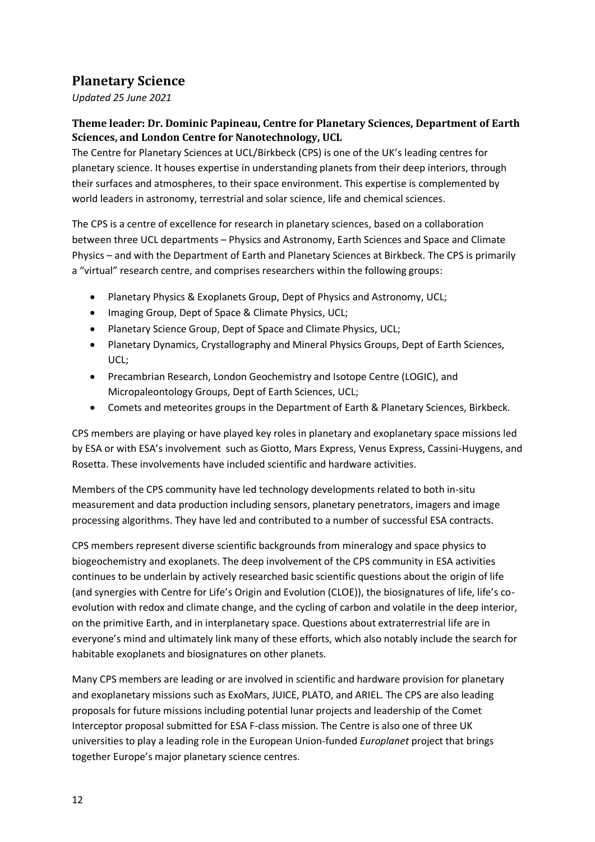# <span id="page-11-0"></span>**Planetary Science**

*Updated 25 June 2021*

#### **Theme leader: Dr. Dominic Papineau, Centre for Planetary Sciences, Department of Earth Sciences, and London Centre for Nanotechnology, UCL**

The Centre for Planetary Sciences at UCL/Birkbeck (CPS) is one of the UK's leading centres for planetary science. It houses expertise in understanding planets from their deep interiors, through their surfaces and atmospheres, to their space environment. This expertise is complemented by world leaders in astronomy, terrestrial and solar science, life and chemical sciences.

The CPS is a centre of excellence for research in planetary sciences, based on a collaboration between three UCL departments – Physics and Astronomy, Earth Sciences and Space and Climate Physics – and with the Department of Earth and Planetary Sciences at Birkbeck. The CPS is primarily a "virtual" research centre, and comprises researchers within the following groups:

- Planetary Physics & Exoplanets Group, Dept of Physics and Astronomy, UCL;
- Imaging Group, Dept of Space & Climate Physics, UCL;
- Planetary Science Group, Dept of Space and Climate Physics, UCL;
- Planetary Dynamics, Crystallography and Mineral Physics Groups, Dept of Earth Sciences, UCL;
- Precambrian Research, London Geochemistry and Isotope Centre (LOGIC), and Micropaleontology Groups, Dept of Earth Sciences, UCL;
- Comets and meteorites groups in the Department of Earth & Planetary Sciences, Birkbeck.

CPS members are playing or have played key roles in planetary and exoplanetary space missions led by ESA or with ESA's involvement such as Giotto, Mars Express, Venus Express, Cassini-Huygens, and Rosetta. These involvements have included scientific and hardware activities.

Members of the CPS community have led technology developments related to both in-situ measurement and data production including sensors, planetary penetrators, imagers and image processing algorithms. They have led and contributed to a number of successful ESA contracts.

CPS members represent diverse scientific backgrounds from mineralogy and space physics to biogeochemistry and exoplanets. The deep involvement of the CPS community in ESA activities continues to be underlain by actively researched basic scientific questions about the origin of life (and synergies with Centre for Life's Origin and Evolution (CLOE)), the biosignatures of life, life's coevolution with redox and climate change, and the cycling of carbon and volatile in the deep interior, on the primitive Earth, and in interplanetary space. Questions about extraterrestrial life are in everyone's mind and ultimately link many of these efforts, which also notably include the search for habitable exoplanets and biosignatures on other planets.

Many CPS members are leading or are involved in scientific and hardware provision for planetary and exoplanetary missions such as ExoMars, JUICE, PLATO, and ARIEL. The CPS are also leading proposals for future missions including potential lunar projects and leadership of the Comet Interceptor proposal submitted for ESA F-class mission. The Centre is also one of three UK universities to play a leading role in the European Union-funded *Europlanet* project that brings together Europe's major planetary science centres.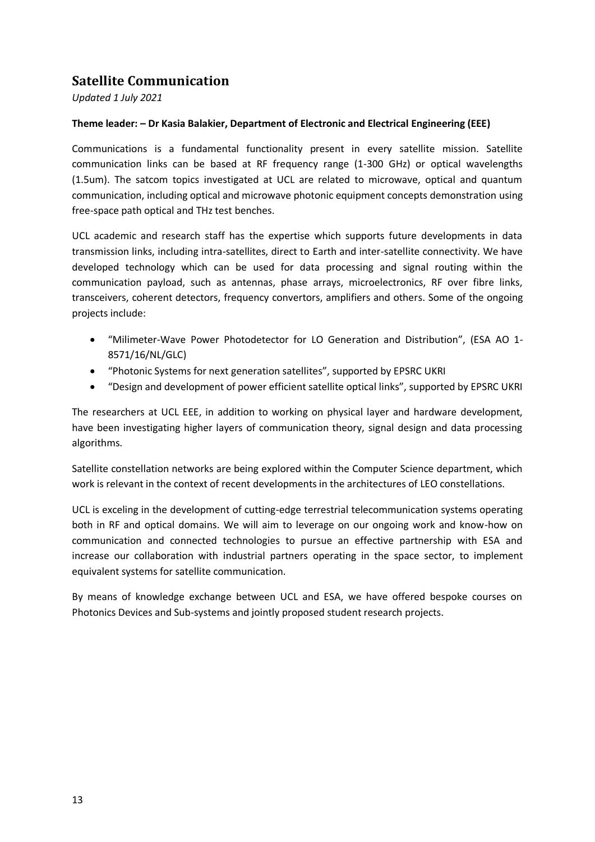# <span id="page-12-0"></span>**Satellite Communication**

*Updated 1 July 2021*

#### **Theme leader: – Dr Kasia Balakier, Department of Electronic and Electrical Engineering (EEE)**

Communications is a fundamental functionality present in every satellite mission. Satellite communication links can be based at RF frequency range (1-300 GHz) or optical wavelengths (1.5um). The satcom topics investigated at UCL are related to microwave, optical and quantum communication, including optical and microwave photonic equipment concepts demonstration using free-space path optical and THz test benches.

UCL academic and research staff has the expertise which supports future developments in data transmission links, including intra-satellites, direct to Earth and inter-satellite connectivity. We have developed technology which can be used for data processing and signal routing within the communication payload, such as antennas, phase arrays, microelectronics, RF over fibre links, transceivers, coherent detectors, frequency convertors, amplifiers and others. Some of the ongoing projects include:

- "Milimeter-Wave Power Photodetector for LO Generation and Distribution", (ESA AO 1- 8571/16/NL/GLC)
- "Photonic Systems for next generation satellites", supported by EPSRC UKRI
- "Design and development of power efficient satellite optical links", supported by EPSRC UKRI

The researchers at UCL EEE, in addition to working on physical layer and hardware development, have been investigating higher layers of communication theory, signal design and data processing algorithms.

Satellite constellation networks are being explored within the Computer Science department, which work is relevant in the context of recent developments in the architectures of LEO constellations.

UCL is exceling in the development of cutting-edge terrestrial telecommunication systems operating both in RF and optical domains. We will aim to leverage on our ongoing work and know-how on communication and connected technologies to pursue an effective partnership with ESA and increase our collaboration with industrial partners operating in the space sector, to implement equivalent systems for satellite communication.

By means of knowledge exchange between UCL and ESA, we have offered bespoke courses on Photonics Devices and Sub-systems and jointly proposed student research projects.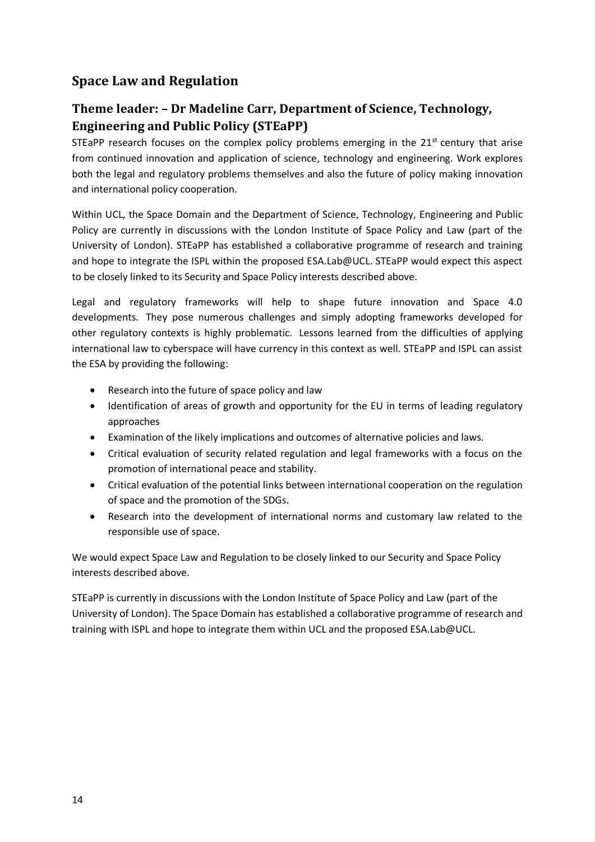## <span id="page-13-0"></span>**Space Law and Regulation**

## **Theme leader: – Dr Madeline Carr, Department of Science, Technology, Engineering and Public Policy (STEaPP)**

STEaPP research focuses on the complex policy problems emerging in the  $21<sup>st</sup>$  century that arise from continued innovation and application of science, technology and engineering. Work explores both the legal and regulatory problems themselves and also the future of policy making innovation and international policy cooperation.

Within UCL, the Space Domain and the Department of Science, Technology, Engineering and Public Policy are currently in discussions with the London Institute of Space Policy and Law (part of the University of London). STEaPP has established a collaborative programme of research and training and hope to integrate the ISPL within the proposed ESA.Lab@UCL. STEaPP would expect this aspect to be closely linked to its Security and Space Policy interests described above.

Legal and regulatory frameworks will help to shape future innovation and Space 4.0 developments. They pose numerous challenges and simply adopting frameworks developed for other regulatory contexts is highly problematic. Lessons learned from the difficulties of applying international law to cyberspace will have currency in this context as well. STEaPP and ISPL can assist the ESA by providing the following:

- [Research](http://www.space-institute.org/research_and_publications/) into the future of space policy and law
- Identification of areas of growth and opportunity for the EU in terms of leading regulatory approaches
- Examination of the likely implications and outcomes of alternative policies and laws.
- Critical evaluation of security related regulation and legal frameworks with a focus on the promotion of international peace and stability.
- Critical evaluation of the potential links between international cooperation on the regulation of space and the promotion of the SDGs.
- Research into the development of international norms and customary law related to the responsible use of space.

We would expect Space Law and Regulation to be closely linked to our Security and Space Policy interests described above.

STEaPP is currently in discussions with the London Institute of Space Policy and Law (part of the University of London). The Space Domain has established a collaborative programme of research and training with ISPL and hope to integrate them within UCL and the proposed ESA.Lab@UCL.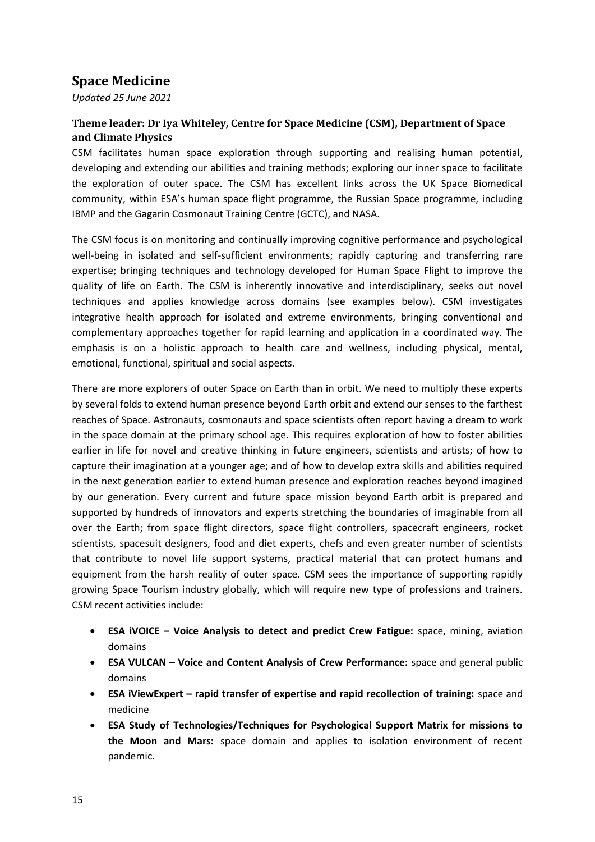# <span id="page-14-0"></span>**Space Medicine**

*Updated 25 June 2021*

### **Theme leader: Dr Iya Whiteley, Centre for Space Medicine (CSM), Department of Space and Climate Physics**

CSM facilitates human space exploration through supporting and realising human potential, developing and extending our abilities and training methods; exploring our inner space to facilitate the exploration of outer space. The CSM has excellent links across the UK Space Biomedical community, within ESA's human space flight programme, the Russian Space programme, including IBMP and the Gagarin Cosmonaut Training Centre (GCTC), and NASA.

The CSM focus is on monitoring and continually improving cognitive performance and psychological well-being in isolated and self-sufficient environments; rapidly capturing and transferring rare expertise; bringing techniques and technology developed for Human Space Flight to improve the quality of life on Earth. The CSM is inherently innovative and interdisciplinary, seeks out novel techniques and applies knowledge across domains (see examples below). CSM investigates integrative health approach for isolated and extreme environments, bringing conventional and complementary approaches together for rapid learning and application in a coordinated way. The emphasis is on a holistic approach to health care and wellness, including physical, mental, emotional, functional, spiritual and social aspects.

There are more explorers of outer Space on Earth than in orbit. We need to multiply these experts by several folds to extend human presence beyond Earth orbit and extend our senses to the farthest reaches of Space. Astronauts, cosmonauts and space scientists often report having a dream to work in the space domain at the primary school age. This requires exploration of how to foster abilities earlier in life for novel and creative thinking in future engineers, scientists and artists; of how to capture their imagination at a younger age; and of how to develop extra skills and abilities required in the next generation earlier to extend human presence and exploration reaches beyond imagined by our generation. Every current and future space mission beyond Earth orbit is prepared and supported by hundreds of innovators and experts stretching the boundaries of imaginable from all over the Earth; from space flight directors, space flight controllers, spacecraft engineers, rocket scientists, spacesuit designers, food and diet experts, chefs and even greater number of scientists that contribute to novel life support systems, practical material that can protect humans and equipment from the harsh reality of outer space. CSM sees the importance of supporting rapidly growing Space Tourism industry globally, which will require new type of professions and trainers. CSM recent activities include:

- **ESA iVOICE – Voice Analysis to detect and predict Crew Fatigue:** space, mining, aviation domains
- **ESA VULCAN – Voice and Content Analysis of Crew Performance:** space and general public domains
- **ESA iViewExpert – rapid transfer of expertise and rapid recollection of training:** space and medicine
- **ESA Study of Technologies/Techniques for Psychological Support Matrix for missions to the Moon and Mars:** space domain and applies to isolation environment of recent pandemic**.**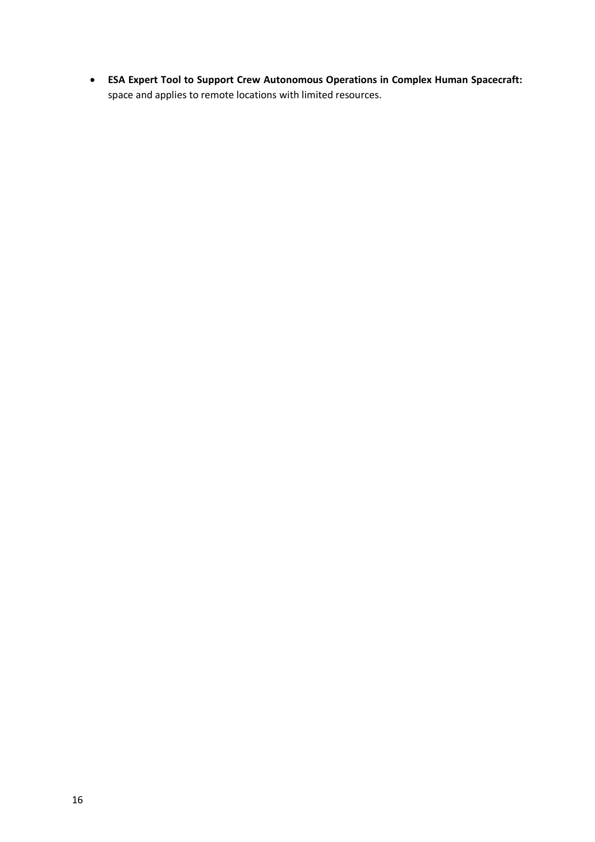• **ESA Expert Tool to Support Crew Autonomous Operations in Complex Human Spacecraft:**  space and applies to remote locations with limited resources.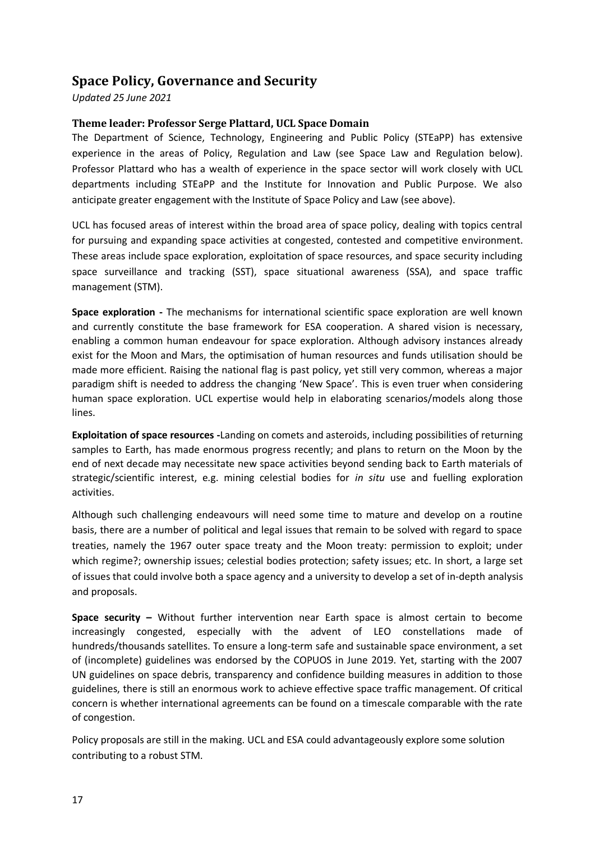## <span id="page-16-0"></span>**Space Policy, Governance and Security**

*Updated 25 June 2021*

#### **Theme leader: Professor Serge Plattard, UCL Space Domain**

The Department of Science, Technology, Engineering and Public Policy (STEaPP) has extensive experience in the areas of Policy, Regulation and Law (see Space Law and Regulation below). Professor Plattard who has a wealth of experience in the space sector will work closely with UCL departments including STEaPP and the Institute for Innovation and Public Purpose. We also anticipate greater engagement with the Institute of Space Policy and Law (see above).

UCL has focused areas of interest within the broad area of space policy, dealing with topics central for pursuing and expanding space activities at congested, contested and competitive environment. These areas include space exploration, exploitation of space resources, and space security including space surveillance and tracking (SST), space situational awareness (SSA), and space traffic management (STM).

**Space exploration -** The mechanisms for international scientific space exploration are well known and currently constitute the base framework for ESA cooperation. A shared vision is necessary, enabling a common human endeavour for space exploration. Although advisory instances already exist for the Moon and Mars, the optimisation of human resources and funds utilisation should be made more efficient. Raising the national flag is past policy, yet still very common, whereas a major paradigm shift is needed to address the changing 'New Space'. This is even truer when considering human space exploration. UCL expertise would help in elaborating scenarios/models along those lines.

**Exploitation of space resources -**Landing on comets and asteroids, including possibilities of returning samples to Earth, has made enormous progress recently; and plans to return on the Moon by the end of next decade may necessitate new space activities beyond sending back to Earth materials of strategic/scientific interest, e.g. mining celestial bodies for *in situ* use and fuelling exploration activities.

Although such challenging endeavours will need some time to mature and develop on a routine basis, there are a number of political and legal issues that remain to be solved with regard to space treaties, namely the 1967 outer space treaty and the Moon treaty: permission to exploit; under which regime?; ownership issues; celestial bodies protection; safety issues; etc. In short, a large set of issues that could involve both a space agency and a university to develop a set of in-depth analysis and proposals.

**Space security –** Without further intervention near Earth space is almost certain to become increasingly congested, especially with the advent of LEO constellations made of hundreds/thousands satellites. To ensure a long-term safe and sustainable space environment, a set of (incomplete) guidelines was endorsed by the COPUOS in June 2019. Yet, starting with the 2007 UN guidelines on space debris, transparency and confidence building measures in addition to those guidelines, there is still an enormous work to achieve effective space traffic management. Of critical concern is whether international agreements can be found on a timescale comparable with the rate of congestion.

Policy proposals are still in the making. UCL and ESA could advantageously explore some solution contributing to a robust STM.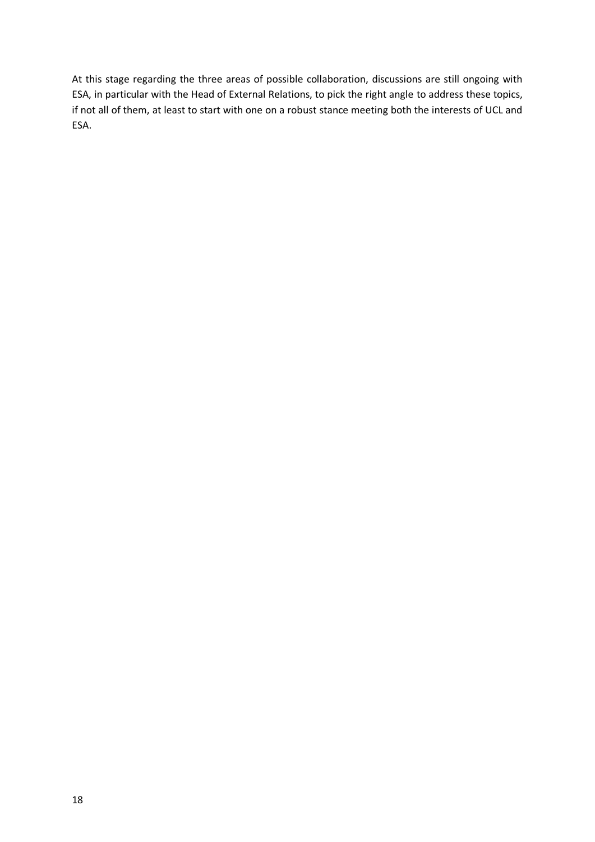At this stage regarding the three areas of possible collaboration, discussions are still ongoing with ESA, in particular with the Head of External Relations, to pick the right angle to address these topics, if not all of them, at least to start with one on a robust stance meeting both the interests of UCL and ESA.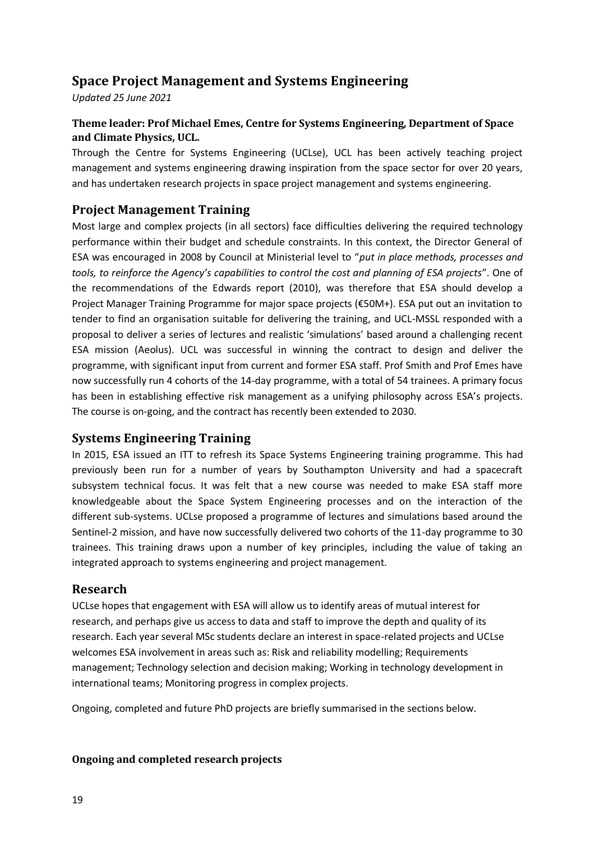# <span id="page-18-0"></span>**Space Project Management and Systems Engineering**

*Updated 25 June 2021*

### **Theme leader: Prof Michael Emes, Centre for Systems Engineering, Department of Space and Climate Physics, UCL.**

Through the Centre for Systems Engineering (UCLse), UCL has been actively teaching project management and systems engineering drawing inspiration from the space sector for over 20 years, and has undertaken research projects in space project management and systems engineering.

### **Project Management Training**

Most large and complex projects (in all sectors) face difficulties delivering the required technology performance within their budget and schedule constraints. In this context, the Director General of ESA was encouraged in 2008 by Council at Ministerial level to "*put in place methods, processes and tools, to reinforce the Agency's capabilities to control the cost and planning of ESA projects*". One of the recommendations of the Edwards report (2010), was therefore that ESA should develop a Project Manager Training Programme for major space projects (€50M+). ESA put out an invitation to tender to find an organisation suitable for delivering the training, and UCL-MSSL responded with a proposal to deliver a series of lectures and realistic 'simulations' based around a challenging recent ESA mission (Aeolus). UCL was successful in winning the contract to design and deliver the programme, with significant input from current and former ESA staff. Prof Smith and Prof Emes have now successfully run 4 cohorts of the 14-day programme, with a total of 54 trainees. A primary focus has been in establishing effective risk management as a unifying philosophy across ESA's projects. The course is on-going, and the contract has recently been extended to 2030.

### **Systems Engineering Training**

In 2015, ESA issued an ITT to refresh its Space Systems Engineering training programme. This had previously been run for a number of years by Southampton University and had a spacecraft subsystem technical focus. It was felt that a new course was needed to make ESA staff more knowledgeable about the Space System Engineering processes and on the interaction of the different sub-systems. UCLse proposed a programme of lectures and simulations based around the Sentinel-2 mission, and have now successfully delivered two cohorts of the 11-day programme to 30 trainees. This training draws upon a number of key principles, including the value of taking an integrated approach to systems engineering and project management.

### **Research**

UCLse hopes that engagement with ESA will allow us to identify areas of mutual interest for research, and perhaps give us access to data and staff to improve the depth and quality of its research. Each year several MSc students declare an interest in space-related projects and UCLse welcomes ESA involvement in areas such as: Risk and reliability modelling; Requirements management; Technology selection and decision making; Working in technology development in international teams; Monitoring progress in complex projects.

Ongoing, completed and future PhD projects are briefly summarised in the sections below.

#### **Ongoing and completed research projects**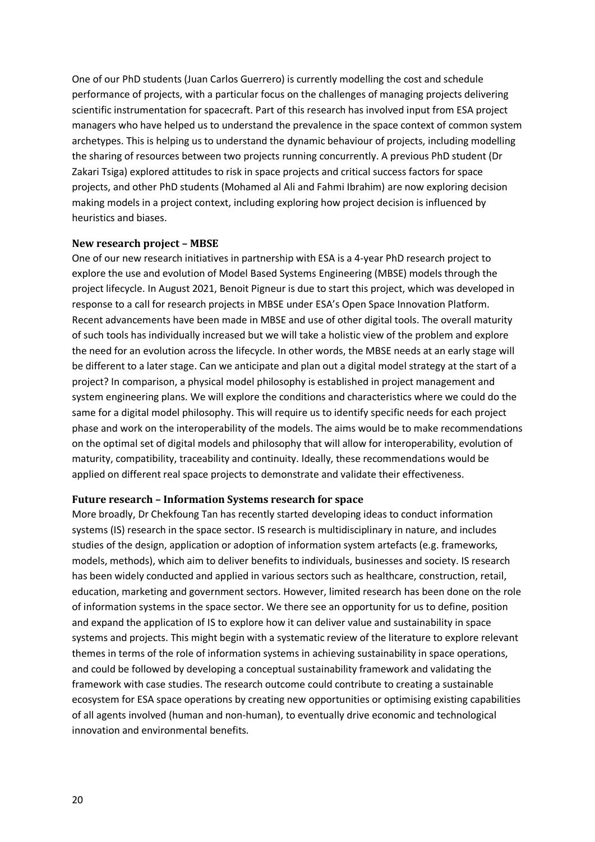One of our PhD students (Juan Carlos Guerrero) is currently modelling the cost and schedule performance of projects, with a particular focus on the challenges of managing projects delivering scientific instrumentation for spacecraft. Part of this research has involved input from ESA project managers who have helped us to understand the prevalence in the space context of common system archetypes. This is helping us to understand the dynamic behaviour of projects, including modelling the sharing of resources between two projects running concurrently. A previous PhD student (Dr Zakari Tsiga) explored attitudes to risk in space projects and critical success factors for space projects, and other PhD students (Mohamed al Ali and Fahmi Ibrahim) are now exploring decision making models in a project context, including exploring how project decision is influenced by heuristics and biases.

#### **New research project – MBSE**

One of our new research initiatives in partnership with ESA is a 4-year PhD research project to explore the use and evolution of Model Based Systems Engineering (MBSE) models through the project lifecycle. In August 2021, Benoit Pigneur is due to start this project, which was developed in response to a call for research projects in MBSE under ESA's Open Space Innovation Platform. Recent advancements have been made in MBSE and use of other digital tools. The overall maturity of such tools has individually increased but we will take a holistic view of the problem and explore the need for an evolution across the lifecycle. In other words, the MBSE needs at an early stage will be different to a later stage. Can we anticipate and plan out a digital model strategy at the start of a project? In comparison, a physical model philosophy is established in project management and system engineering plans. We will explore the conditions and characteristics where we could do the same for a digital model philosophy. This will require us to identify specific needs for each project phase and work on the interoperability of the models. The aims would be to make recommendations on the optimal set of digital models and philosophy that will allow for interoperability, evolution of maturity, compatibility, traceability and continuity. Ideally, these recommendations would be applied on different real space projects to demonstrate and validate their effectiveness.

#### **Future research – Information Systems research for space**

More broadly, Dr Chekfoung Tan has recently started developing ideas to conduct information systems (IS) research in the space sector. IS research is multidisciplinary in nature, and includes studies of the design, application or adoption of information system artefacts (e.g. frameworks, models, methods), which aim to deliver benefits to individuals, businesses and society. IS research has been widely conducted and applied in various sectors such as healthcare, construction, retail, education, marketing and government sectors. However, limited research has been done on the role of information systems in the space sector. We there see an opportunity for us to define, position and expand the application of IS to explore how it can deliver value and sustainability in space systems and projects. This might begin with a systematic review of the literature to explore relevant themes in terms of the role of information systems in achieving sustainability in space operations, and could be followed by developing a conceptual sustainability framework and validating the framework with case studies. The research outcome could contribute to creating a sustainable ecosystem for ESA space operations by creating new opportunities or optimising existing capabilities of all agents involved (human and non-human), to eventually drive economic and technological innovation and environmental benefits.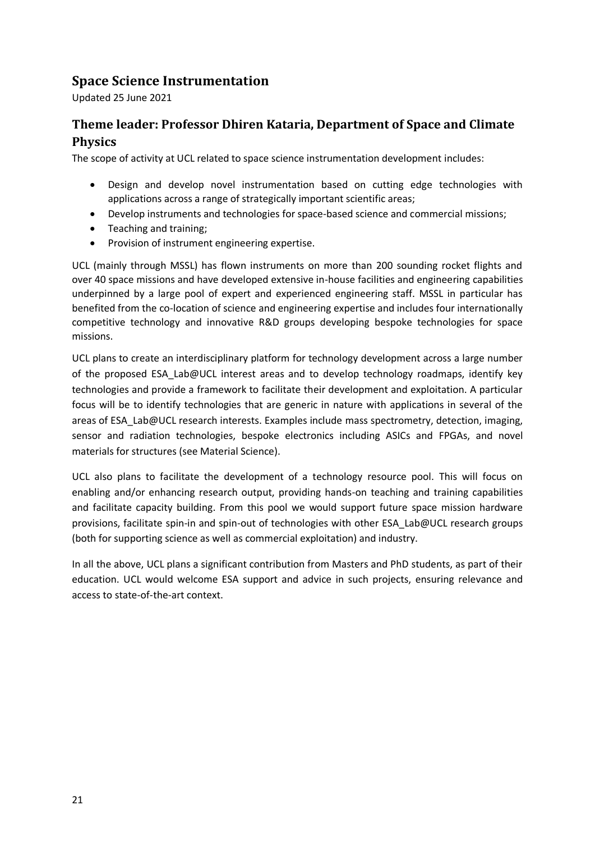## <span id="page-20-0"></span>**Space Science Instrumentation**

Updated 25 June 2021

## **Theme leader: Professor Dhiren Kataria, Department of Space and Climate Physics**

The scope of activity at UCL related to space science instrumentation development includes:

- Design and develop novel instrumentation based on cutting edge technologies with applications across a range of strategically important scientific areas;
- Develop instruments and technologies for space-based science and commercial missions;
- Teaching and training;
- Provision of instrument engineering expertise.

UCL (mainly through MSSL) has flown instruments on more than 200 sounding rocket flights and over 40 space missions and have developed extensive in-house facilities and engineering capabilities underpinned by a large pool of expert and experienced engineering staff. MSSL in particular has benefited from the co-location of science and engineering expertise and includes four internationally competitive technology and innovative R&D groups developing bespoke technologies for space missions.

UCL plans to create an interdisciplinary platform for technology development across a large number of the proposed ESA\_Lab@UCL interest areas and to develop technology roadmaps, identify key technologies and provide a framework to facilitate their development and exploitation. A particular focus will be to identify technologies that are generic in nature with applications in several of the areas of ESA\_Lab@UCL research interests. Examples include mass spectrometry, detection, imaging, sensor and radiation technologies, bespoke electronics including ASICs and FPGAs, and novel materials for structures (see Material Science).

UCL also plans to facilitate the development of a technology resource pool. This will focus on enabling and/or enhancing research output, providing hands-on teaching and training capabilities and facilitate capacity building. From this pool we would support future space mission hardware provisions, facilitate spin-in and spin-out of technologies with other ESA\_Lab@UCL research groups (both for supporting science as well as commercial exploitation) and industry.

In all the above, UCL plans a significant contribution from Masters and PhD students, as part of their education. UCL would welcome ESA support and advice in such projects, ensuring relevance and access to state-of-the-art context.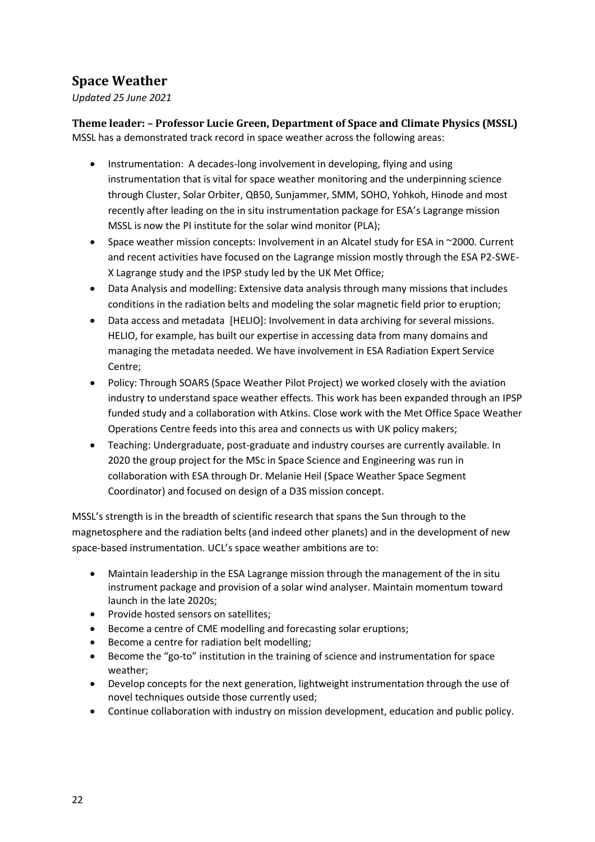# <span id="page-21-0"></span>**Space Weather**

*Updated 25 June 2021*

**Theme leader: – Professor Lucie Green, Department of Space and Climate Physics (MSSL)** MSSL has a demonstrated track record in space weather across the following areas:

- Instrumentation: A decades-long involvement in developing, flying and using instrumentation that is vital for space weather monitoring and the underpinning science through Cluster, Solar Orbiter, QB50, Sunjammer, SMM, SOHO, Yohkoh, Hinode and most recently after leading on the in situ instrumentation package for ESA's Lagrange mission MSSL is now the PI institute for the solar wind monitor (PLA);
- Space weather mission concepts: Involvement in an Alcatel study for ESA in ~2000. Current and recent activities have focused on the Lagrange mission mostly through the ESA P2-SWE-X Lagrange study and the IPSP study led by the UK Met Office;
- Data Analysis and modelling: Extensive data analysis through many missions that includes conditions in the radiation belts and modeling the solar magnetic field prior to eruption;
- Data access and metadata [HELIO]: Involvement in data archiving for several missions. HELIO, for example, has built our expertise in accessing data from many domains and managing the metadata needed. We have involvement in ESA Radiation Expert Service Centre;
- Policy: Through SOARS (Space Weather Pilot Project) we worked closely with the aviation industry to understand space weather effects. This work has been expanded through an IPSP funded study and a collaboration with Atkins. Close work with the Met Office Space Weather Operations Centre feeds into this area and connects us with UK policy makers;
- Teaching: Undergraduate, post-graduate and industry courses are currently available. In 2020 the group project for the MSc in Space Science and Engineering was run in collaboration with ESA through Dr. Melanie Heil (Space Weather Space Segment Coordinator) and focused on design of a D3S mission concept.

MSSL's strength is in the breadth of scientific research that spans the Sun through to the magnetosphere and the radiation belts (and indeed other planets) and in the development of new space-based instrumentation. UCL's space weather ambitions are to:

- Maintain leadership in the ESA Lagrange mission through the management of the in situ instrument package and provision of a solar wind analyser. Maintain momentum toward launch in the late 2020s;
- Provide hosted sensors on satellites;
- Become a centre of CME modelling and forecasting solar eruptions;
- Become a centre for radiation belt modelling;
- Become the "go-to" institution in the training of science and instrumentation for space weather;
- Develop concepts for the next generation, lightweight instrumentation through the use of novel techniques outside those currently used;
- Continue collaboration with industry on mission development, education and public policy.